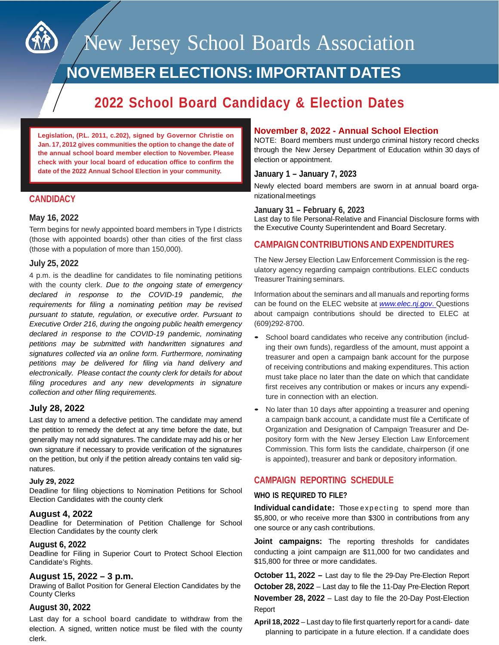

New Jersey School Boards Association

# **NOVEMBER ELECTIONS: IMPORTANT DATES**

# **2022 School Board Candidacy & Election Dates**

**Legislation, (P.L. 2011, c.202), signed by Governor Christie on Jan. 17, 2012 gives communities the option to change the date of the annual school board member election to November. Please check with your local board of education office to confirm the date of the 2022 Annual School Election in your community.**

# **CANDIDACY**

#### **May 16, 2022**

Term begins for newly appointed board members in Type I districts (those with appointed boards) other than cities of the first class (those with a population of more than 150,000).

# **July 25, 2022**

4 p.m. is the deadline for candidates to file nominating petitions with the county clerk. *Due to the ongoing state of emergency declared in response to the COVID-19 pandemic, the requirements for filing a nominating petition may be revised pursuant to statute, regulation, or executive order. Pursuant to Executive Order 216, during the ongoing public health emergency declared in response to the COVID-19 pandemic, nominating petitions may be submitted with handwritten signatures and signatures collected via an online form. Furthermore, nominating petitions may be delivered for filing via hand delivery and electronically. Please contact the county clerk for details for about filing procedures and any new developments in signature collection and other filing requirements.*

# **July 28, 2022**

Last day to amend a defective petition. The candidate may amend the petition to remedy the defect at any time before the date, but generally may not add signatures. The candidate may add his or her own signature if necessary to provide verification of the signatures on the petition, but only if the petition already contains ten valid signatures.

#### **July 29, 2022**

Deadline for filing objections to Nomination Petitions for School Election Candidates with the county clerk

#### **August 4, 2022**

Deadline for Determination of Petition Challenge for School Election Candidates by the county clerk

#### **August 6, 2022**

Deadline for Filing in Superior Court to Protect School Election Candidate's Rights.

# **August 15, 2022 – 3 p.m.**

Drawing of Ballot Position for General Election Candidates by the County Clerks

#### **August 30, 2022**

Last day for a school board candidate to withdraw from the election. A signed, written notice must be filed with the county clerk.

# **November 8, 2022 - Annual School Election**

NOTE: Board members must undergo criminal history record checks through the New Jersey Department of Education within 30 days of election or appointment.

# **January 1 – January 7, 2023**

Newly elected board members are sworn in at annual board organizationalmeetings

#### **January 31 – February 6, 2023**

Last day to file Personal-Relative and Financial Disclosure forms with the Executive County Superintendent and Board Secretary.

# **CAMPAIGN CONTRIBUTIONSAND EXPENDITURES**

The New Jersey Election Law Enforcement Commission is the regulatory agency regarding campaign contributions. ELEC conducts Treasurer Training seminars.

Information about the seminars and all manuals and reporting forms can be found on the ELEC website at *www.elec.nj.gov*. Questions about campaign contributions should be directed to ELEC at (609)292-8700.

- School board candidates who receive any contribution (including their own funds), regardless of the amount, must appoint a treasurer and open a campaign bank account for the purpose of receiving contributions and making expenditures. This action must take place no later than the date on which that candidate first receives any contribution or makes or incurs any expenditure in connection with an election.
- No later than 10 days after appointing a treasurer and opening a campaign bank account, a candidate must file a Certificate of Organization and Designation of Campaign Treasurer and Depository form with the New Jersey Election Law Enforcement Commission. This form lists the candidate, chairperson (if one is appointed), treasurer and bank or depository information.

# **CAMPAIGN REPORTING SCHEDULE**

#### **WHO IS REQUIRED TO FILE?**

**Individual candidate:** Those expecting to spend more than \$5,800, or who receive more than \$300 in contributions from any one source or any cash contributions.

**Joint campaigns:** The reporting thresholds for candidates conducting a joint campaign are \$11,000 for two candidates and \$15,800 for three or more candidates.

**October 11, 2022 –** Last day to file the 29-Day Pre-Election Report **October 28, 2022** – Last day to file the 11-Day Pre-Election Report **November 28, 2022** – Last day to file the 20-Day Post-Election Report

**April 18, 2022** – Last day to file first quarterly report for a candi- date planning to participate in a future election. If a candidate does